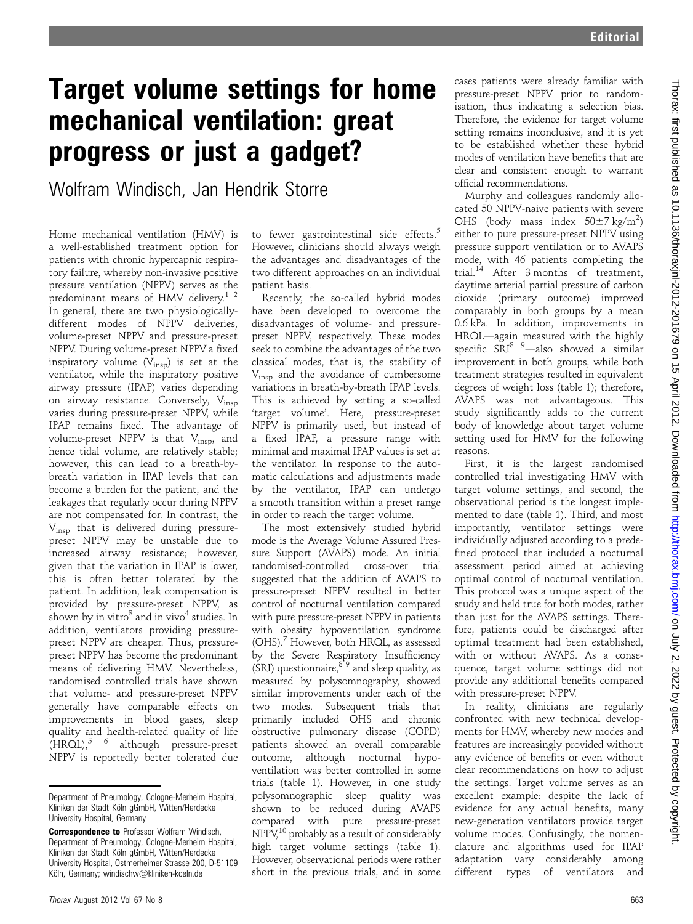# Target volume settings for home mechanical ventilation: great progress or just a gadget?

Wolfram Windisch, Jan Hendrik Storre

Home mechanical ventilation (HMV) is a well-established treatment option for patients with chronic hypercapnic respiratory failure, whereby non-invasive positive pressure ventilation (NPPV) serves as the predominant means of HMV delivery.<sup>1 2</sup> In general, there are two physiologicallydifferent modes of NPPV deliveries. volume-preset NPPV and pressure-preset NPPV. During volume-preset NPPV a fixed inspiratory volume  $(\dot{V}_{insp})$  is set at the ventilator, while the inspiratory positive airway pressure (IPAP) varies depending on airway resistance. Conversely, Vinsp varies during pressure-preset NPPV, while IPAP remains fixed. The advantage of volume-preset NPPV is that Vinsp, and hence tidal volume, are relatively stable; however, this can lead to a breath-bybreath variation in IPAP levels that can become a burden for the patient, and the leakages that regularly occur during NPPV are not compensated for. In contrast, the Vinsp that is delivered during pressurepreset NPPV may be unstable due to increased airway resistance; however, given that the variation in IPAP is lower, this is often better tolerated by the patient. In addition, leak compensation is provided by pressure-preset NPPV, as shown by in vitro $3$  and in vivo<sup>4</sup> studies. In addition, ventilators providing pressurepreset NPPV are cheaper. Thus, pressurepreset NPPV has become the predominant means of delivering HMV. Nevertheless, randomised controlled trials have shown that volume- and pressure-preset NPPV generally have comparable effects on improvements in blood gases, sleep quality and health-related quality of life  $(HROL),$ <sup>5 6</sup> although pressure-preset NPPV is reportedly better tolerated due

to fewer gastrointestinal side effects.<sup>5</sup> However, clinicians should always weigh the advantages and disadvantages of the two different approaches on an individual patient basis.

Recently, the so-called hybrid modes have been developed to overcome the disadvantages of volume- and pressurepreset NPPV, respectively. These modes seek to combine the advantages of the two classical modes, that is, the stability of V<sub>insp</sub> and the avoidance of cumbersome variations in breath-by-breath IPAP levels. This is achieved by setting a so-called 'target volume'. Here, pressure-preset NPPV is primarily used, but instead of a fixed IPAP, a pressure range with minimal and maximal IPAP values is set at the ventilator. In response to the automatic calculations and adjustments made by the ventilator, IPAP can undergo a smooth transition within a preset range in order to reach the target volume.

The most extensively studied hybrid mode is the Average Volume Assured Pressure Support (AVAPS) mode. An initial randomised-controlled cross-over trial suggested that the addition of AVAPS to pressure-preset NPPV resulted in better control of nocturnal ventilation compared with pure pressure-preset NPPV in patients with obesity hypoventilation syndrome (OHS).7 However, both HRQL, as assessed by the Severe Respiratory Insufficiency  $(SRI)$  questionnaire,<sup>89</sup> and sleep quality, as measured by polysomnography, showed similar improvements under each of the two modes. Subsequent trials that primarily included OHS and chronic obstructive pulmonary disease (COPD) patients showed an overall comparable outcome, although nocturnal hypoventilation was better controlled in some trials (table 1). However, in one study polysomnographic sleep quality was shown to be reduced during AVAPS compared with pure pressure-preset NPPV,10 probably as a result of considerably high target volume settings (table 1). However, observational periods were rather short in the previous trials, and in some

cases patients were already familiar with pressure-preset NPPV prior to randomisation, thus indicating a selection bias. Therefore, the evidence for target volume setting remains inconclusive, and it is yet to be established whether these hybrid modes of ventilation have benefits that are clear and consistent enough to warrant official recommendations.

Murphy and colleagues randomly allocated 50 NPPV-naive patients with severe OHS (body mass index  $50 \pm 7$  kg/m<sup>2</sup>) either to pure pressure-preset NPPV using pressure support ventilation or to AVAPS mode, with 46 patients completing the trial.<sup>14</sup> After 3 months of treatment, daytime arterial partial pressure of carbon dioxide (primary outcome) improved comparably in both groups by a mean 0.6 kPa. In addition, improvements in HRQL-again measured with the highly specific  $S\overline{R}I^8$  <sup>9</sup>-also showed a similar improvement in both groups, while both treatment strategies resulted in equivalent degrees of weight loss (table 1); therefore, AVAPS was not advantageous. This study significantly adds to the current body of knowledge about target volume setting used for HMV for the following reasons.

First, it is the largest randomised controlled trial investigating HMV with target volume settings, and second, the observational period is the longest implemented to date (table 1). Third, and most importantly, ventilator settings were individually adjusted according to a predefined protocol that included a nocturnal assessment period aimed at achieving optimal control of nocturnal ventilation. This protocol was a unique aspect of the study and held true for both modes, rather than just for the AVAPS settings. Therefore, patients could be discharged after optimal treatment had been established, with or without AVAPS. As a consequence, target volume settings did not provide any additional benefits compared with pressure-preset NPPV.

In reality, clinicians are regularly confronted with new technical developments for HMV, whereby new modes and features are increasingly provided without any evidence of benefits or even without clear recommendations on how to adjust the settings. Target volume serves as an excellent example: despite the lack of evidence for any actual benefits, many new-generation ventilators provide target volume modes. Confusingly, the nomenclature and algorithms used for IPAP adaptation vary considerably among different types of ventilators and

Department of Pneumology, Cologne-Merheim Hospital, Kliniken der Stadt Köln gGmbH, Witten/Herdecke University Hospital, Germany

Correspondence to Professor Wolfram Windisch, Department of Pneumology, Cologne-Merheim Hospital, Kliniken der Stadt Köln gGmbH, Witten/Herdecke University Hospital, Ostmerheimer Strasse 200, D-51109 Köln, Germany; windischw@kliniken-koeln.de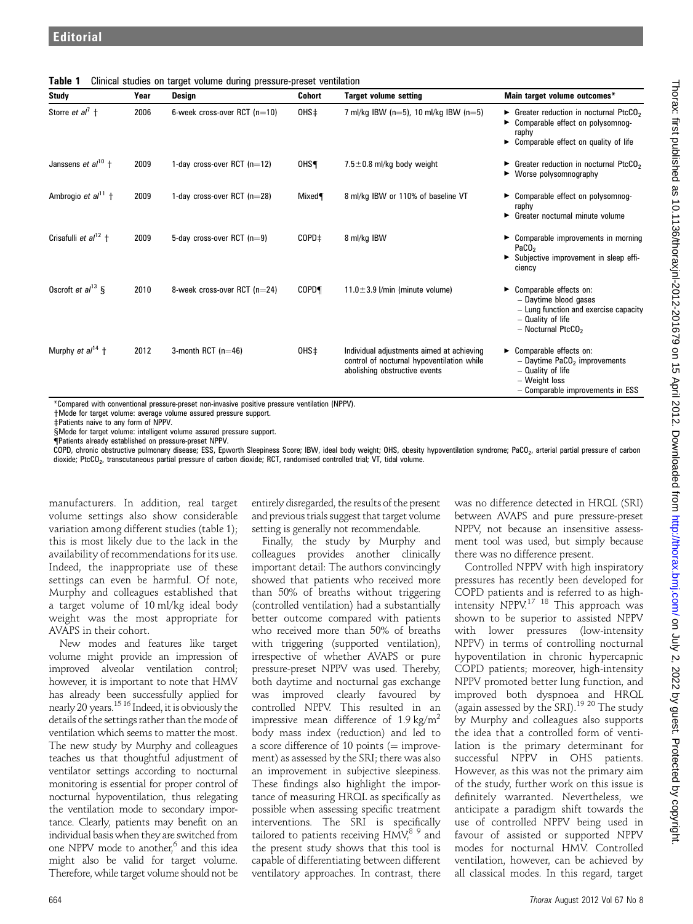|  | Table 1 Clinical studies on target volume during pressure-preset ventilation |  |  |  |  |
|--|------------------------------------------------------------------------------|--|--|--|--|
|--|------------------------------------------------------------------------------|--|--|--|--|

| Study                                 | Year | Design                         | Cohort            | <b>Target volume setting</b>                                                                                             | Main target volume outcomes*                                                                                                                            |
|---------------------------------------|------|--------------------------------|-------------------|--------------------------------------------------------------------------------------------------------------------------|---------------------------------------------------------------------------------------------------------------------------------------------------------|
| Storre et al <sup>7</sup> $\dagger$   | 2006 | 6-week cross-over RCT $(n=10)$ | 0HS <sup>+</sup>  | 7 ml/kg IBW (n=5), 10 ml/kg IBW (n=5)                                                                                    | Greater reduction in nocturnal PtcCO <sub>2</sub><br>Comparable effect on polysomnog-<br>raphy<br>$\triangleright$ Comparable effect on quality of life |
| Janssens et $al^{10}$ +               | 2009 | 1-day cross-over RCT $(n=12)$  | OHS¶              | $7.5 \pm 0.8$ ml/kg body weight                                                                                          | Greater reduction in nocturnal PtcCO <sub>2</sub><br>$\triangleright$ Worse polysomnography                                                             |
| Ambrogio et $al^{11}$ +               | 2009 | 1-day cross-over RCT $(n=28)$  | Mixed             | 8 ml/kg IBW or 110% of baseline VT                                                                                       | Comparable effect on polysomnog-<br>raphy<br>► Greater nocturnal minute volume                                                                          |
| Crisafulli et $a^{12}$ +              | 2009 | 5-day cross-over RCT $(n=9)$   | COPD <sup>+</sup> | 8 ml/kg IBW                                                                                                              | $\triangleright$ Comparable improvements in morning<br>PaCO <sub>2</sub><br>> Subjective improvement in sleep effi-<br>ciency                           |
| Oscroft et $al^{13}$ §                | 2010 | 8-week cross-over RCT (n=24)   | <b>COPD</b>       | 11.0 $\pm$ 3.9 l/min (minute volume)                                                                                     | Comparable effects on:<br>▶<br>- Daytime blood gases<br>- Lung function and exercise capacity<br>- Quality of life<br>$-$ Nocturnal PtcCO <sub>2</sub>  |
| Murphy <i>et al</i> <sup>14</sup> $+$ | 2012 | 3-month RCT $(n=46)$           | 0HS <sup>+</sup>  | Individual adjustments aimed at achieving<br>control of nocturnal hypoventilation while<br>abolishing obstructive events | Comparable effects on:<br>▶<br>$-$ Daytime PaCO <sub>2</sub> improvements<br>- Quality of life<br>- Weight loss<br>- Comparable improvements in ESS     |

\*Compared with conventional pressure-preset non-invasive positive pressure ventilation (NPPV).

yMode for target volume: average volume assured pressure support.

zPatients naive to any form of NPPV.

s Mode for target volume: intelligent volume assured pressure support.

{Patients already established on pressure-preset NPPV.

COPD, chronic obstructive pulmonary disease; ESS, Epworth Sleepiness Score; IBW, ideal body weight; OHS, obesity hypoventilation syndrome; PaCO<sub>2</sub>, arterial partial pressure of carbon dioxide; PtcCO<sub>2</sub>, transcutaneous partial pressure of carbon dioxide; RCT, randomised controlled trial; VT, tidal volume.

manufacturers. In addition, real target volume settings also show considerable variation among different studies (table 1); this is most likely due to the lack in the availability of recommendations for its use. Indeed, the inappropriate use of these settings can even be harmful. Of note, Murphy and colleagues established that a target volume of 10 ml/kg ideal body weight was the most appropriate for AVAPS in their cohort.

New modes and features like target volume might provide an impression of improved alveolar ventilation control; however, it is important to note that HMV has already been successfully applied for nearly 20 years.15 16 Indeed, it is obviously the details of the settings rather than the mode of ventilation which seems to matter the most. The new study by Murphy and colleagues teaches us that thoughtful adjustment of ventilator settings according to nocturnal monitoring is essential for proper control of nocturnal hypoventilation, thus relegating the ventilation mode to secondary importance. Clearly, patients may benefit on an individual basis when they are switched from one NPPV mode to another,<sup>6</sup> and this idea might also be valid for target volume. Therefore, while target volume should not be entirely disregarded, the results of the present and previous trials suggest that target volume setting is generally not recommendable.

Finally, the study by Murphy and colleagues provides another clinically important detail: The authors convincingly showed that patients who received more than 50% of breaths without triggering (controlled ventilation) had a substantially better outcome compared with patients who received more than 50% of breaths with triggering (supported ventilation), irrespective of whether AVAPS or pure pressure-preset NPPV was used. Thereby, both daytime and nocturnal gas exchange was improved clearly favoured by controlled NPPV. This resulted in an impressive mean difference of 1.9 kg/m<sup>2</sup> body mass index (reduction) and led to a score difference of 10 points ( $=$  improvement) as assessed by the SRI; there was also an improvement in subjective sleepiness. These findings also highlight the importance of measuring HRQL as specifically as possible when assessing specific treatment interventions. The SRI is specifically tailored to patients receiving  $HMV<sup>89</sup>$  and the present study shows that this tool is capable of differentiating between different ventilatory approaches. In contrast, there was no difference detected in HRQL (SRI) between AVAPS and pure pressure-preset NPPV, not because an insensitive assessment tool was used, but simply because there was no difference present.

Controlled NPPV with high inspiratory pressures has recently been developed for COPD patients and is referred to as highintensity  $NPPV^{17}$  <sup>18</sup> This approach was shown to be superior to assisted NPPV with lower pressures (low-intensity NPPV) in terms of controlling nocturnal hypoventilation in chronic hypercapnic COPD patients; moreover, high-intensity NPPV promoted better lung function, and improved both dyspnoea and HRQL (again assessed by the SRI).19 20 The study by Murphy and colleagues also supports the idea that a controlled form of ventilation is the primary determinant for successful NPPV in OHS patients. However, as this was not the primary aim of the study, further work on this issue is definitely warranted. Nevertheless, we anticipate a paradigm shift towards the use of controlled NPPV being used in favour of assisted or supported NPPV modes for nocturnal HMV. Controlled ventilation, however, can be achieved by all classical modes. In this regard, target